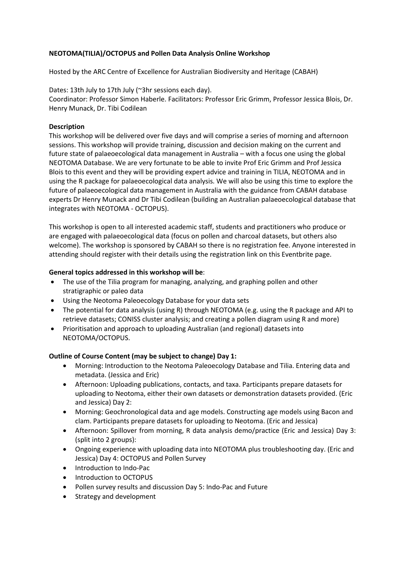# **NEOTOMA(TILIA)/OCTOPUS and Pollen Data Analysis Online Workshop**

Hosted by the ARC Centre of Excellence for Australian Biodiversity and Heritage (CABAH)

Dates: 13th July to 17th July (~3hr sessions each day). Coordinator: Professor Simon Haberle. Facilitators: Professor Eric Grimm, Professor Jessica Blois, Dr. Henry Munack, Dr. Tibi Codilean

# **Description**

This workshop will be delivered over five days and will comprise a series of morning and afternoon sessions. This workshop will provide training, discussion and decision making on the current and future state of palaeoecological data management in Australia – with a focus one using the global NEOTOMA Database. We are very fortunate to be able to invite Prof Eric Grimm and Prof Jessica Blois to this event and they will be providing expert advice and training in TILIA, NEOTOMA and in using the R package for palaeoecological data analysis. We will also be using this time to explore the future of palaeoecological data management in Australia with the guidance from CABAH database experts Dr Henry Munack and Dr Tibi Codilean (building an Australian palaeoecological database that integrates with NEOTOMA - OCTOPUS).

This workshop is open to all interested academic staff, students and practitioners who produce or are engaged with palaeoecological data (focus on pollen and charcoal datasets, but others also welcome). The workshop is sponsored by CABAH so there is no registration fee. Anyone interested in attending should register with their details using the registration link on this Eventbrite page.

# **General topics addressed in this workshop will be**:

- The use of the Tilia program for managing, analyzing, and graphing pollen and other stratigraphic or paleo data
- Using the Neotoma Paleoecology Database for your data sets
- The potential for data analysis (using R) through NEOTOMA (e.g. using the R package and API to retrieve datasets; CONISS cluster analysis; and creating a pollen diagram using R and more)
- Prioritisation and approach to uploading Australian (and regional) datasets into NEOTOMA/OCTOPUS.

#### **Outline of Course Content (may be subject to change) Day 1:**

- Morning: Introduction to the Neotoma Paleoecology Database and Tilia. Entering data and metadata. (Jessica and Eric)
- Afternoon: Uploading publications, contacts, and taxa. Participants prepare datasets for uploading to Neotoma, either their own datasets or demonstration datasets provided. (Eric and Jessica) Day 2:
- Morning: Geochronological data and age models. Constructing age models using Bacon and clam. Participants prepare datasets for uploading to Neotoma. (Eric and Jessica)
- Afternoon: Spillover from morning, R data analysis demo/practice (Eric and Jessica) Day 3: (split into 2 groups):
- Ongoing experience with uploading data into NEOTOMA plus troubleshooting day. (Eric and Jessica) Day 4: OCTOPUS and Pollen Survey
- Introduction to Indo-Pac
- Introduction to OCTOPUS
- Pollen survey results and discussion Day 5: Indo-Pac and Future
- Strategy and development